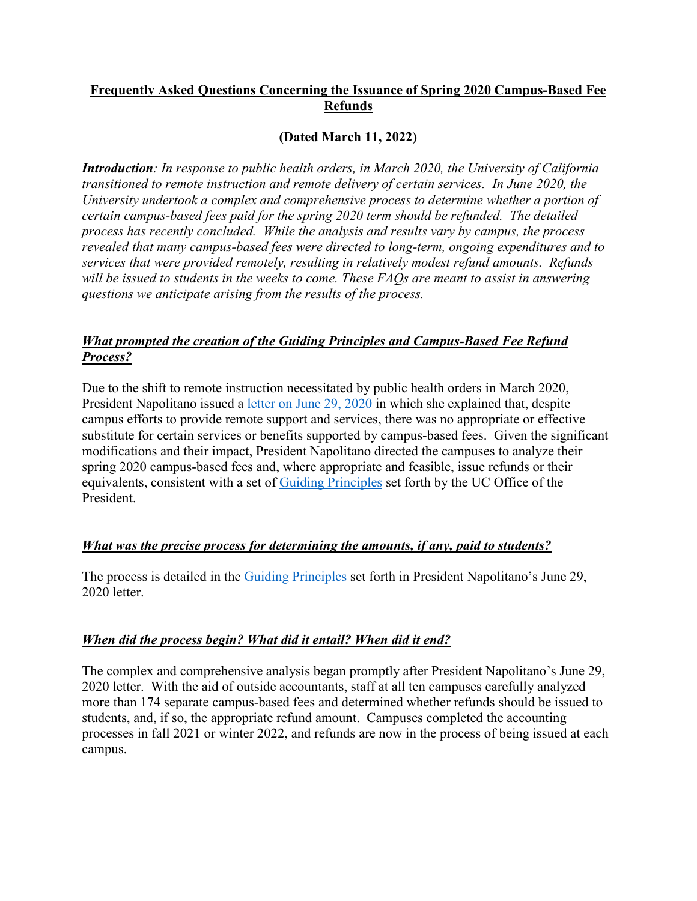# **Frequently Asked Questions Concerning the Issuance of Spring 2020 Campus-Based Fee Refunds**

## **(Dated March 11, 2022)**

*Introduction: In response to public health orders, in March 2020, the University of California transitioned to remote instruction and remote delivery of certain services. In June 2020, the University undertook a complex and comprehensive process to determine whether a portion of certain campus-based fees paid for the spring 2020 term should be refunded. The detailed process has recently concluded. While the analysis and results vary by campus, the process revealed that many campus-based fees were directed to long-term, ongoing expenditures and to services that were provided remotely, resulting in relatively modest refund amounts. Refunds will be issued to students in the weeks to come. These FAQs are meant to assist in answering questions we anticipate arising from the results of the process.* 

# *What prompted the creation of the Guiding Principles and Campus-Based Fee Refund Process?*

Due to the shift to remote instruction necessitated by public health orders in March 2020, President Napolitano issued a [letter on June 29, 2020](https://www.ucop.edu/operating-budget/_files/fees/documents/refunding_spring_2020_campus-based_fees.pdf) in which she explained that, despite campus efforts to provide remote support and services, there was no appropriate or effective substitute for certain services or benefits supported by campus-based fees. Given the significant modifications and their impact, President Napolitano directed the campuses to analyze their spring 2020 campus-based fees and, where appropriate and feasible, issue refunds or their equivalents, consistent with a set of [Guiding Principles](https://www.ucop.edu/operating-budget/_files/fees/documents/refunding_spring_2020_campus-based_fees.pdf) set forth by the UC Office of the President.

### *What was the precise process for determining the amounts, if any, paid to students?*

The process is detailed in the [Guiding Principles](https://www.ucop.edu/operating-budget/_files/fees/documents/refunding_spring_2020_campus-based_fees.pdf) set forth in President Napolitano's June 29, 2020 letter.

### *When did the process begin? What did it entail? When did it end?*

The complex and comprehensive analysis began promptly after President Napolitano's June 29, 2020 letter. With the aid of outside accountants, staff at all ten campuses carefully analyzed more than 174 separate campus-based fees and determined whether refunds should be issued to students, and, if so, the appropriate refund amount. Campuses completed the accounting processes in fall 2021 or winter 2022, and refunds are now in the process of being issued at each campus.